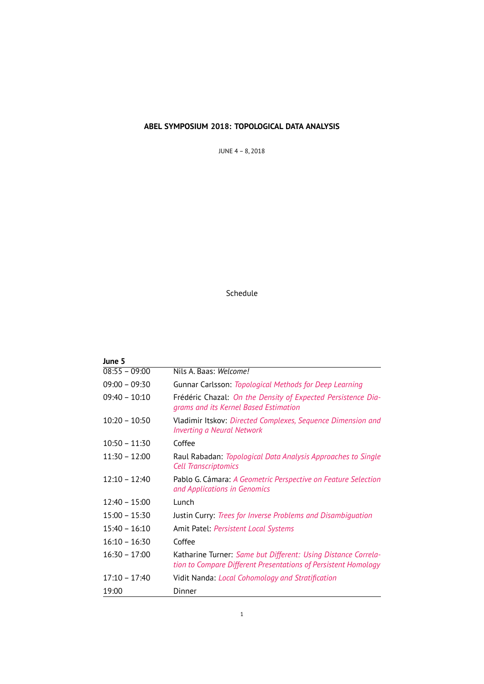# **ABEL SYMPOSIUM 2018: TOPOLOGICAL DATA ANALYSIS**

JUNE 4 – 8, 2018

# Schedule

| June 5                     |                                                                                                                                 |
|----------------------------|---------------------------------------------------------------------------------------------------------------------------------|
| $\overline{08:}55 - 09:00$ | Nils A. Baas: Welcome!                                                                                                          |
| $09:00 - 09:30$            | Gunnar Carlsson: Topological Methods for Deep Learning                                                                          |
| $09:40 - 10:10$            | Frédéric Chazal: On the Density of Expected Persistence Dia-<br>grams and its Kernel Based Estimation                           |
| $10:20 - 10:50$            | Vladimir Itskov: Directed Complexes, Sequence Dimension and<br><b>Inverting a Neural Network</b>                                |
| $10:50 - 11:30$            | Coffee                                                                                                                          |
| $11:30 - 12:00$            | Raul Rabadan: Topological Data Analysis Approaches to Single<br><b>Cell Transcriptomics</b>                                     |
| $12:10 - 12:40$            | Pablo G. Cámara: A Geometric Perspective on Feature Selection<br>and Applications in Genomics                                   |
| $12:40 - 15:00$            | Lunch                                                                                                                           |
| $15:00 - 15:30$            | Justin Curry: Trees for Inverse Problems and Disambiquation                                                                     |
| $15:40 - 16:10$            | Amit Patel: <i>Persistent Local Systems</i>                                                                                     |
| $16:10 - 16:30$            | Coffee                                                                                                                          |
| $16:30 - 17:00$            | Katharine Turner: Same but Different: Using Distance Correla-<br>tion to Compare Different Presentations of Persistent Homology |
| $17:10 - 17:40$            | Vidit Nanda: Local Cohomology and Stratification                                                                                |
| 19:00                      | Dinner                                                                                                                          |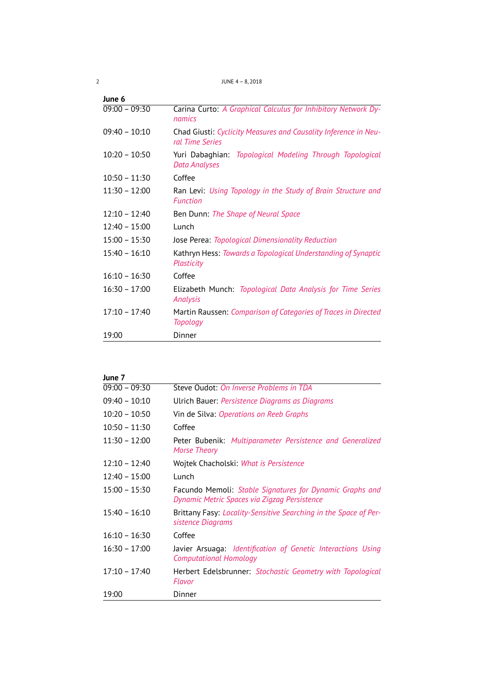2 JUNE 4 – 8, 2018

| June 6          |                                                                                     |
|-----------------|-------------------------------------------------------------------------------------|
| $09:00 - 09:30$ | Carina Curto: A Graphical Calculus for Inhibitory Network Dy-<br>namics             |
| $09:40 - 10:10$ | Chad Giusti: Cyclicity Measures and Causality Inference in Neu-<br>ral Time Series  |
| $10:20 - 10:50$ | Yuri Dabaghian:<br>Topological Modeling Through Topological<br><b>Data Analyses</b> |
| $10:50 - 11:30$ | Coffee                                                                              |
| $11:30 - 12:00$ | Ran Levi: Using Topology in the Study of Brain Structure and<br><b>Function</b>     |
| $12:10 - 12:40$ | Ben Dunn: The Shape of Neural Space                                                 |
| $12:40 - 15:00$ | Lunch                                                                               |
| $15:00 - 15:30$ | Jose Perea: Topological Dimensionality Reduction                                    |
| $15:40 - 16:10$ | Kathryn Hess: Towards a Topological Understanding of Synaptic<br>Plasticity         |
| $16:10 - 16:30$ | Coffee                                                                              |
| $16:30 - 17:00$ | Elizabeth Munch: Topological Data Analysis for Time Series<br>Analysis              |
| $17:10 - 17:40$ | Martin Raussen: Comparison of Categories of Traces in Directed<br><b>Topology</b>   |
| 19:00           | Dinner                                                                              |

| June 7          |                                                                                                          |
|-----------------|----------------------------------------------------------------------------------------------------------|
| $09:00 - 09:30$ | Steve Oudot: On Inverse Problems in TDA                                                                  |
| $09:40 - 10:10$ | Ulrich Bauer: Persistence Diagrams as Diagrams                                                           |
| $10:20 - 10:50$ | Vin de Silva: Operations on Reeb Graphs                                                                  |
| $10:50 - 11:30$ | Coffee                                                                                                   |
| $11:30 - 12:00$ | Peter Bubenik: Multiparameter Persistence and Generalized<br><b>Morse Theory</b>                         |
| $12:10 - 12:40$ | Wojtek Chacholski: What is Persistence                                                                   |
| $12:40 - 15:00$ | Lunch                                                                                                    |
| $15:00 - 15:30$ | Facundo Memoli: Stable Signatures for Dynamic Graphs and<br>Dynamic Metric Spaces via Zigzag Persistence |
| $15:40 - 16:10$ | Brittany Fasy: Locality-Sensitive Searching in the Space of Per-<br>sistence Diagrams                    |
| $16:10 - 16:30$ | Coffee                                                                                                   |
| $16:30 - 17:00$ | Javier Arsuaga: Identification of Genetic Interactions Using<br><b>Computational Homology</b>            |
| $17:10 - 17:40$ | Herbert Edelsbrunner: Stochastic Geometry with Topological<br>Flavor                                     |
| 19:00           | Dinner                                                                                                   |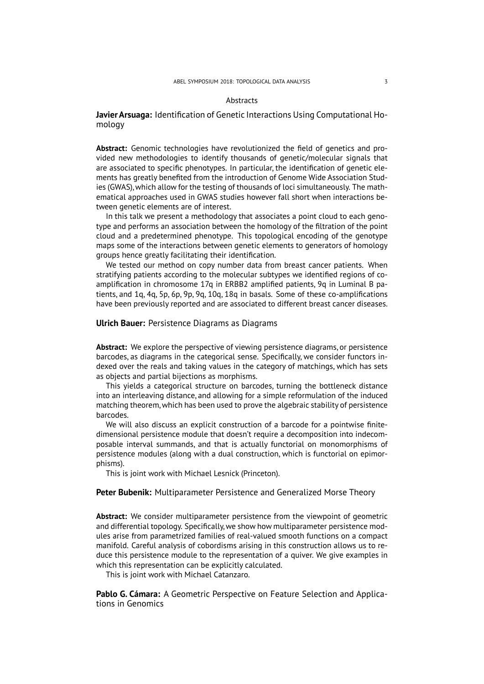#### **Abstracts**

# **Javier Arsuaga:** Identification of Genetic Interactions Using Computational Homology

<span id="page-2-2"></span>**Abstract:** Genomic technologies have revolutionized the field of genetics and provided new methodologies to identify thousands of genetic/molecular signals that are associated to specific phenotypes. In particular, the identification of genetic elements has greatly benefited from the introduction of Genome Wide Association Studies (GWAS), which allow for the testing of thousands of loci simultaneously. The mathematical approaches used in GWAS studies however fall short when interactions between genetic elements are of interest.

In this talk we present a methodology that associates a point cloud to each genotype and performs an association between the homology of the filtration of the point cloud and a predetermined phenotype. This topological encoding of the genotype maps some of the interactions between genetic elements to generators of homology groups hence greatly facilitating their identification.

We tested our method on copy number data from breast cancer patients. When stratifying patients according to the molecular subtypes we identified regions of coamplification in chromosome 17q in ERBB2 amplified patients, 9q in Luminal B patients, and 1q, 4q, 5p, 6p, 9p, 9q, 10q, 18q in basals. Some of these co-amplifications have been previously reported and are associated to different breast cancer diseases.

### **Ulrich Bauer:** Persistence Diagrams as Diagrams

<span id="page-2-0"></span>**Abstract:** We explore the perspective of viewing persistence diagrams, or persistence barcodes, as diagrams in the categorical sense. Specifically, we consider functors indexed over the reals and taking values in the category of matchings, which has sets as objects and partial bijections as morphisms.

This yields a categorical structure on barcodes, turning the bottleneck distance into an interleaving distance, and allowing for a simple reformulation of the induced matching theorem, which has been used to prove the algebraic stability of persistence barcodes.

We will also discuss an explicit construction of a barcode for a pointwise finitedimensional persistence module that doesn't require a decomposition into indecomposable interval summands, and that is actually functorial on monomorphisms of persistence modules (along with a dual construction, which is functorial on epimorphisms).

This is joint work with Michael Lesnick (Princeton).

# **Peter Bubenik:** Multiparameter Persistence and Generalized Morse Theory

<span id="page-2-1"></span>**Abstract:** We consider multiparameter persistence from the viewpoint of geometric and differential topology. Specifically, we show how multiparameter persistence modules arise from parametrized families of real-valued smooth functions on a compact manifold. Careful analysis of cobordisms arising in this construction allows us to reduce this persistence module to the representation of a quiver. We give examples in which this representation can be explicitly calculated.

This is joint work with Michael Catanzaro.

**Pablo G. Cámara:** A Geometric Perspective on Feature Selection and Applications in Genomics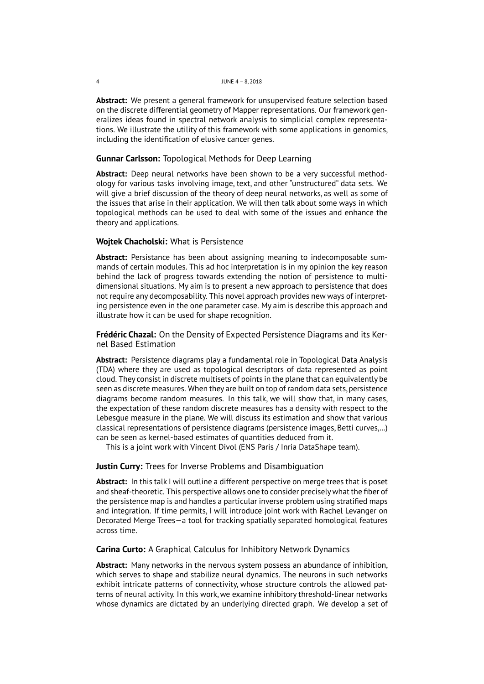<span id="page-3-2"></span>**Abstract:** We present a general framework for unsupervised feature selection based on the discrete differential geometry of Mapper representations. Our framework generalizes ideas found in spectral network analysis to simplicial complex representations. We illustrate the utility of this framework with some applications in genomics, including the identification of elusive cancer genes.

## **Gunnar Carlsson:** Topological Methods for Deep Learning

<span id="page-3-0"></span>**Abstract:** Deep neural networks have been shown to be a very successful methodology for various tasks involving image, text, and other "unstructured" data sets. We will give a brief discussion of the theory of deep neural networks, as well as some of the issues that arise in their application. We will then talk about some ways in which topological methods can be used to deal with some of the issues and enhance the theory and applications.

## **Wojtek Chacholski:** What is Persistence

<span id="page-3-5"></span>**Abstract:** Persistance has been about assigning meaning to indecomposable summands of certain modules. This ad hoc interpretation is in my opinion the key reason behind the lack of progress towards extending the notion of persistence to multidimensional situations. My aim is to present a new approach to persistence that does not require any decomposability. This novel approach provides new ways of interpreting persistence even in the one parameter case. My aim is describe this approach and illustrate how it can be used for shape recognition.

**Frédéric Chazal:** On the Density of Expected Persistence Diagrams and its Kernel Based Estimation

<span id="page-3-1"></span>**Abstract:** Persistence diagrams play a fundamental role in Topological Data Analysis (TDA) where they are used as topological descriptors of data represented as point cloud. They consist in discrete multisets of points in the plane that can equivalently be seen as discrete measures. When they are built on top of random data sets, persistence diagrams become random measures. In this talk, we will show that, in many cases, the expectation of these random discrete measures has a density with respect to the Lebesgue measure in the plane. We will discuss its estimation and show that various classical representations of persistence diagrams (persistence images, Betti curves,…) can be seen as kernel-based estimates of quantities deduced from it.

This is a joint work with Vincent Divol (ENS Paris / Inria DataShape team).

# **Justin Curry:** Trees for Inverse Problems and Disambiguation

<span id="page-3-3"></span>**Abstract:** In this talk I will outline a different perspective on merge trees that is poset and sheaf-theoretic. This perspective allows one to consider precisely what the fiber of the persistence map is and handles a particular inverse problem using stratified maps and integration. If time permits, I will introduce joint work with Rachel Levanger on Decorated Merge Trees—a tool for tracking spatially separated homological features across time.

## **Carina Curto:** A Graphical Calculus for Inhibitory Network Dynamics

<span id="page-3-4"></span>**Abstract:** Many networks in the nervous system possess an abundance of inhibition, which serves to shape and stabilize neural dynamics. The neurons in such networks exhibit intricate patterns of connectivity, whose structure controls the allowed patterns of neural activity. In this work, we examine inhibitory threshold-linear networks whose dynamics are dictated by an underlying directed graph. We develop a set of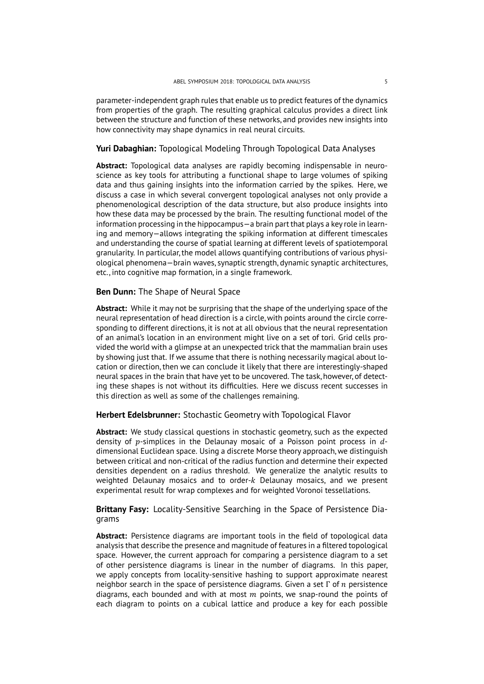parameter-independent graph rules that enable us to predict features of the dynamics from properties of the graph. The resulting graphical calculus provides a direct link between the structure and function of these networks, and provides new insights into how connectivity may shape dynamics in real neural circuits.

# **Yuri Dabaghian:** Topological Modeling Through Topological Data Analyses

<span id="page-4-0"></span>**Abstract:** Topological data analyses are rapidly becoming indispensable in neuroscience as key tools for attributing a functional shape to large volumes of spiking data and thus gaining insights into the information carried by the spikes. Here, we discuss a case in which several convergent topological analyses not only provide a phenomenological description of the data structure, but also produce insights into how these data may be processed by the brain. The resulting functional model of the information processing in the hippocampus—a brain part that plays a key role in learning and memory—allows integrating the spiking information at different timescales and understanding the course of spatial learning at different levels of spatiotemporal granularity. In particular, the model allows quantifying contributions of various physiological phenomena—brain waves, synaptic strength, dynamic synaptic architectures, etc., into cognitive map formation, in a single framework.

## **Ben Dunn:** The Shape of Neural Space

<span id="page-4-1"></span>**Abstract:** While it may not be surprising that the shape of the underlying space of the neural representation of head direction is a circle, with points around the circle corresponding to different directions, it is not at all obvious that the neural representation of an animal's location in an environment might live on a set of tori. Grid cells provided the world with a glimpse at an unexpected trick that the mammalian brain uses by showing just that. If we assume that there is nothing necessarily magical about location or direction, then we can conclude it likely that there are interestingly-shaped neural spaces in the brain that have yet to be uncovered. The task, however, of detecting these shapes is not without its difficulties. Here we discuss recent successes in this direction as well as some of the challenges remaining.

### **Herbert Edelsbrunner:** Stochastic Geometry with Topological Flavor

<span id="page-4-3"></span>**Abstract:** We study classical questions in stochastic geometry, such as the expected density of  $p$ -simplices in the Delaunay mosaic of a Poisson point process in  $d$ dimensional Euclidean space. Using a discrete Morse theory approach, we distinguish between critical and non-critical of the radius function and determine their expected densities dependent on a radius threshold. We generalize the analytic results to weighted Delaunay mosaics and to order- $k$  Delaunay mosaics, and we present experimental result for wrap complexes and for weighted Voronoi tessellations.

**Brittany Fasy:** Locality-Sensitive Searching in the Space of Persistence Diagrams

<span id="page-4-2"></span>**Abstract:** Persistence diagrams are important tools in the field of topological data analysis that describe the presence and magnitude of features in a filtered topological space. However, the current approach for comparing a persistence diagram to a set of other persistence diagrams is linear in the number of diagrams. In this paper, we apply concepts from locality-sensitive hashing to support approximate nearest neighbor search in the space of persistence diagrams. Given a set  $\Gamma$  of  $n$  persistence diagrams, each bounded and with at most  $m$  points, we snap-round the points of each diagram to points on a cubical lattice and produce a key for each possible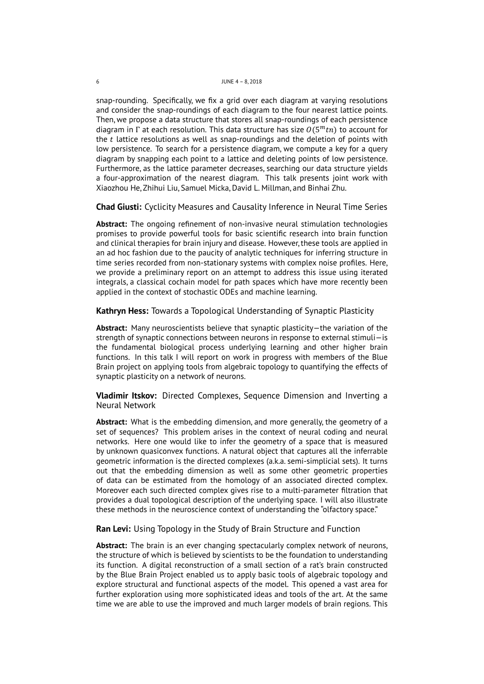#### 6 JUNE 4 – 8, 2018

snap-rounding. Specifically, we fix a grid over each diagram at varying resolutions and consider the snap-roundings of each diagram to the four nearest lattice points. Then, we propose a data structure that stores all snap-roundings of each persistence diagram in  $\Gamma$  at each resolution. This data structure has size  $O(5<sup>m</sup>tn)$  to account for the  $t$  lattice resolutions as well as snap-roundings and the deletion of points with low persistence. To search for a persistence diagram, we compute a key for a query diagram by snapping each point to a lattice and deleting points of low persistence. Furthermore, as the lattice parameter decreases, searching our data structure yields a four-approximation of the nearest diagram. This talk presents joint work with Xiaozhou He, Zhihui Liu, Samuel Micka, David L. Millman, and Binhai Zhu.

**Chad Giusti:** Cyclicity Measures and Causality Inference in Neural Time Series

<span id="page-5-1"></span>**Abstract:** The ongoing refinement of non-invasive neural stimulation technologies promises to provide powerful tools for basic scientific research into brain function and clinical therapies for brain injury and disease. However, these tools are applied in an ad hoc fashion due to the paucity of analytic techniques for inferring structure in time series recorded from non-stationary systems with complex noise profiles. Here, we provide a preliminary report on an attempt to address this issue using iterated integrals, a classical cochain model for path spaces which have more recently been applied in the context of stochastic ODEs and machine learning.

## **Kathryn Hess:** Towards a Topological Understanding of Synaptic Plasticity

<span id="page-5-3"></span>**Abstract:** Many neuroscientists believe that synaptic plasticity—the variation of the strength of synaptic connections between neurons in response to external stimuli—is the fundamental biological process underlying learning and other higher brain functions. In this talk I will report on work in progress with members of the Blue Brain project on applying tools from algebraic topology to quantifying the effects of synaptic plasticity on a network of neurons.

**Vladimir Itskov:** Directed Complexes, Sequence Dimension and Inverting a Neural Network

<span id="page-5-0"></span>**Abstract:** What is the embedding dimension, and more generally, the geometry of a set of sequences? This problem arises in the context of neural coding and neural networks. Here one would like to infer the geometry of a space that is measured by unknown quasiconvex functions. A natural object that captures all the inferrable geometric information is the directed complexes (a.k.a. semi-simplicial sets). It turns out that the embedding dimension as well as some other geometric properties of data can be estimated from the homology of an associated directed complex. Moreover each such directed complex gives rise to a multi-parameter filtration that provides a dual topological description of the underlying space. I will also illustrate these methods in the neuroscience context of understanding the "olfactory space."

# **Ran Levi:** Using Topology in the Study of Brain Structure and Function

<span id="page-5-2"></span>**Abstract:** The brain is an ever changing spectacularly complex network of neurons, the structure of which is believed by scientists to be the foundation to understanding its function. A digital reconstruction of a small section of a rat's brain constructed by the Blue Brain Project enabled us to apply basic tools of algebraic topology and explore structural and functional aspects of the model. This opened a vast area for further exploration using more sophisticated ideas and tools of the art. At the same time we are able to use the improved and much larger models of brain regions. This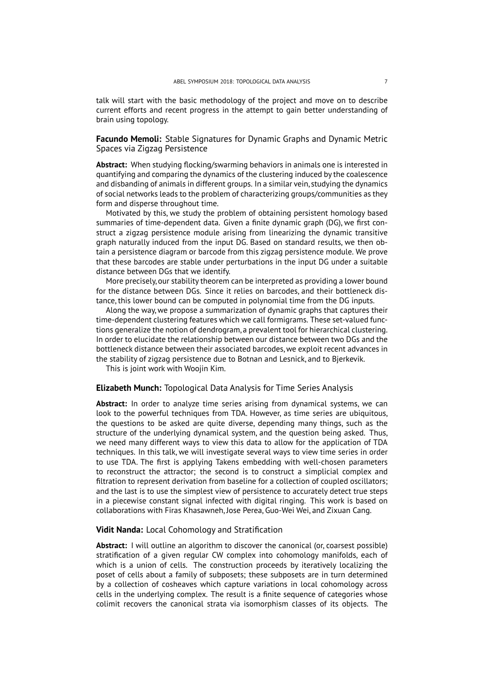talk will start with the basic methodology of the project and move on to describe current efforts and recent progress in the attempt to gain better understanding of brain using topology.

**Facundo Memoli:** Stable Signatures for Dynamic Graphs and Dynamic Metric Spaces via Zigzag Persistence

<span id="page-6-2"></span>**Abstract:** When studying flocking/swarming behaviors in animals one is interested in quantifying and comparing the dynamics of the clustering induced by the coalescence and disbanding of animals in different groups. In a similar vein, studying the dynamics of social networks leads to the problem of characterizing groups/communities as they form and disperse throughout time.

Motivated by this, we study the problem of obtaining persistent homology based summaries of time-dependent data. Given a finite dynamic graph (DG), we first construct a zigzag persistence module arising from linearizing the dynamic transitive graph naturally induced from the input DG. Based on standard results, we then obtain a persistence diagram or barcode from this zigzag persistence module. We prove that these barcodes are stable under perturbations in the input DG under a suitable distance between DGs that we identify.

More precisely, our stability theorem can be interpreted as providing a lower bound for the distance between DGs. Since it relies on barcodes, and their bottleneck distance, this lower bound can be computed in polynomial time from the DG inputs.

Along the way, we propose a summarization of dynamic graphs that captures their time-dependent clustering features which we call formigrams. These set-valued functions generalize the notion of dendrogram, a prevalent tool for hierarchical clustering. In order to elucidate the relationship between our distance between two DGs and the bottleneck distance between their associated barcodes, we exploit recent advances in the stability of zigzag persistence due to Botnan and Lesnick, and to Bjerkevik.

This is joint work with Woojin Kim.

# **Elizabeth Munch:** Topological Data Analysis for Time Series Analysis

<span id="page-6-1"></span>**Abstract:** In order to analyze time series arising from dynamical systems, we can look to the powerful techniques from TDA. However, as time series are ubiquitous, the questions to be asked are quite diverse, depending many things, such as the structure of the underlying dynamical system, and the question being asked. Thus, we need many different ways to view this data to allow for the application of TDA techniques. In this talk, we will investigate several ways to view time series in order to use TDA. The first is applying Takens embedding with well-chosen parameters to reconstruct the attractor; the second is to construct a simplicial complex and filtration to represent derivation from baseline for a collection of coupled oscillators; and the last is to use the simplest view of persistence to accurately detect true steps in a piecewise constant signal infected with digital ringing. This work is based on collaborations with Firas Khasawneh, Jose Perea, Guo-Wei Wei, and Zixuan Cang.

### **Vidit Nanda:** Local Cohomology and Stratification

<span id="page-6-0"></span>**Abstract:** I will outline an algorithm to discover the canonical (or, coarsest possible) stratification of a given regular CW complex into cohomology manifolds, each of which is a union of cells. The construction proceeds by iteratively localizing the poset of cells about a family of subposets; these subposets are in turn determined by a collection of cosheaves which capture variations in local cohomology across cells in the underlying complex. The result is a finite sequence of categories whose colimit recovers the canonical strata via isomorphism classes of its objects. The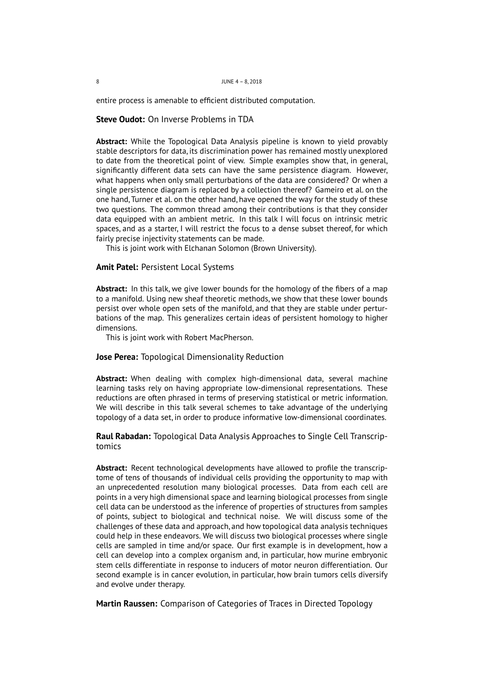entire process is amenable to efficient distributed computation.

**Steve Oudot:** On Inverse Problems in TDA

<span id="page-7-3"></span>**Abstract:** While the Topological Data Analysis pipeline is known to yield provably stable descriptors for data, its discrimination power has remained mostly unexplored to date from the theoretical point of view. Simple examples show that, in general, significantly different data sets can have the same persistence diagram. However, what happens when only small perturbations of the data are considered? Or when a single persistence diagram is replaced by a collection thereof? Gameiro et al. on the one hand, Turner et al. on the other hand, have opened the way for the study of these two questions. The common thread among their contributions is that they consider data equipped with an ambient metric. In this talk I will focus on intrinsic metric spaces, and as a starter, I will restrict the focus to a dense subset thereof, for which fairly precise injectivity statements can be made.

This is joint work with Elchanan Solomon (Brown University).

## **Amit Patel:** Persistent Local Systems

<span id="page-7-1"></span>**Abstract:** In this talk, we give lower bounds for the homology of the fibers of a map to a manifold. Using new sheaf theoretic methods, we show that these lower bounds persist over whole open sets of the manifold, and that they are stable under perturbations of the map. This generalizes certain ideas of persistent homology to higher dimensions.

This is joint work with Robert MacPherson.

### **Jose Perea:** Topological Dimensionality Reduction

<span id="page-7-2"></span>**Abstract:** When dealing with complex high-dimensional data, several machine learning tasks rely on having appropriate low-dimensional representations. These reductions are often phrased in terms of preserving statistical or metric information. We will describe in this talk several schemes to take advantage of the underlying topology of a data set, in order to produce informative low-dimensional coordinates.

# **Raul Rabadan:** Topological Data Analysis Approaches to Single Cell Transcriptomics

<span id="page-7-0"></span>**Abstract:** Recent technological developments have allowed to profile the transcriptome of tens of thousands of individual cells providing the opportunity to map with an unprecedented resolution many biological processes. Data from each cell are points in a very high dimensional space and learning biological processes from single cell data can be understood as the inference of properties of structures from samples of points, subject to biological and technical noise. We will discuss some of the challenges of these data and approach, and how topological data analysis techniques could help in these endeavors. We will discuss two biological processes where single cells are sampled in time and/or space. Our first example is in development, how a cell can develop into a complex organism and, in particular, how murine embryonic stem cells differentiate in response to inducers of motor neuron differentiation. Our second example is in cancer evolution, in particular, how brain tumors cells diversify and evolve under therapy.

**Martin Raussen:** Comparison of Categories of Traces in Directed Topology